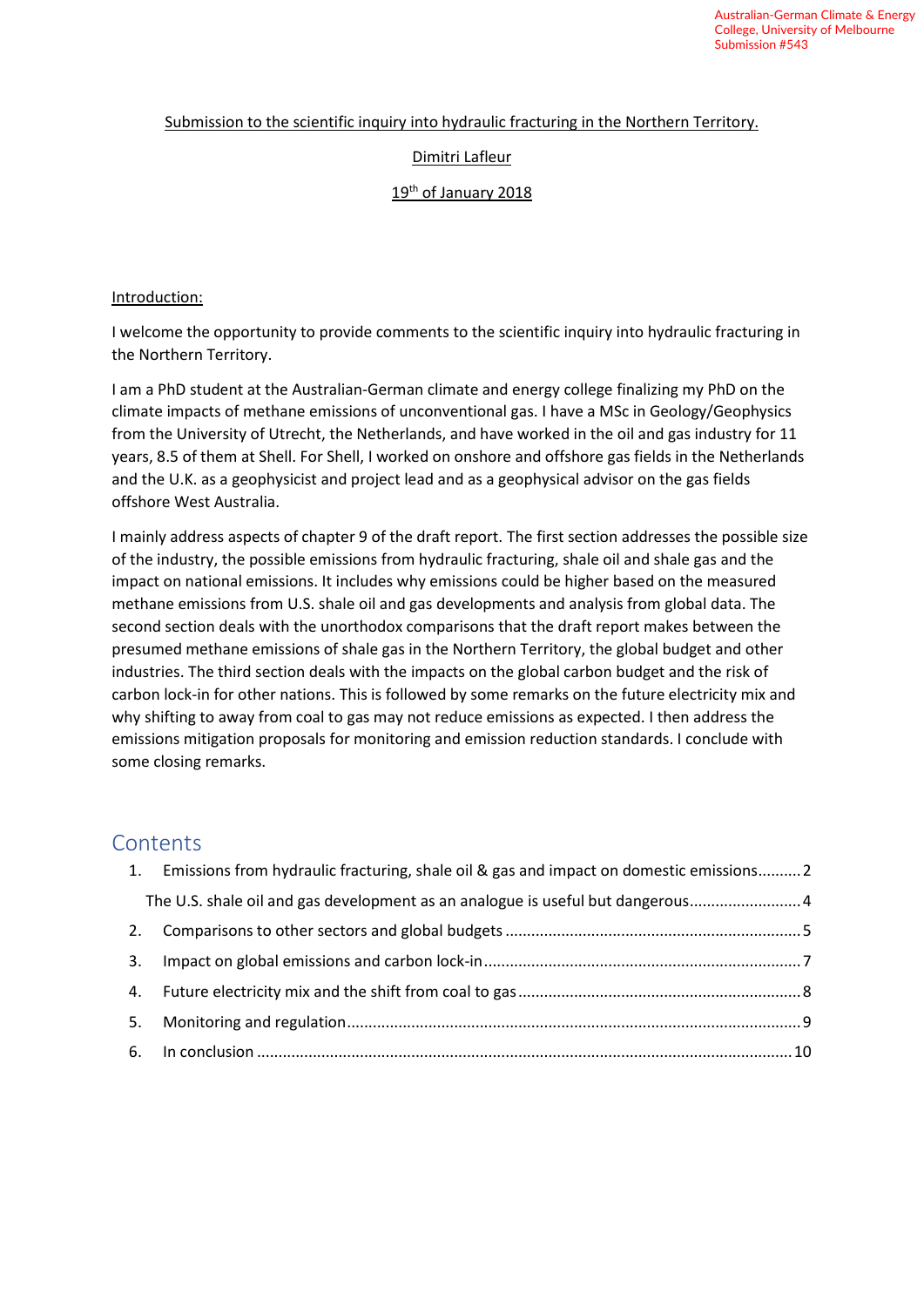#### Submission to the scientific inquiry into hydraulic fracturing in the Northern Territory.

## Dimitri Lafleur

#### 19<sup>th</sup> of January 2018

#### Introduction:

I welcome the opportunity to provide comments to the scientific inquiry into hydraulic fracturing in the Northern Territory.

I am a PhD student at the Australian-German climate and energy college finalizing my PhD on the climate impacts of methane emissions of unconventional gas. I have a MSc in Geology/Geophysics from the University of Utrecht, the Netherlands, and have worked in the oil and gas industry for 11 years, 8.5 of them at Shell. For Shell, I worked on onshore and offshore gas fields in the Netherlands and the U.K. as a geophysicist and project lead and as a geophysical advisor on the gas fields offshore West Australia.

I mainly address aspects of chapter 9 of the draft report. The first section addresses the possible size of the industry, the possible emissions from hydraulic fracturing, shale oil and shale gas and the impact on national emissions. It includes why emissions could be higher based on the measured methane emissions from U.S. shale oil and gas developments and analysis from global data. The second section deals with the unorthodox comparisons that the draft report makes between the presumed methane emissions of shale gas in the Northern Territory, the global budget and other industries. The third section deals with the impacts on the global carbon budget and the risk of carbon lock-in for other nations. This is followed by some remarks on the future electricity mix and why shifting to away from coal to gas may not reduce emissions as expected. I then address the emissions mitigation proposals for monitoring and emission reduction standards. I conclude with some closing remarks.

# **Contents**

|    | 1. Emissions from hydraulic fracturing, shale oil & gas and impact on domestic emissions 2 |  |
|----|--------------------------------------------------------------------------------------------|--|
|    | The U.S. shale oil and gas development as an analogue is useful but dangerous              |  |
|    |                                                                                            |  |
| 3. |                                                                                            |  |
|    |                                                                                            |  |
| 5. |                                                                                            |  |
|    |                                                                                            |  |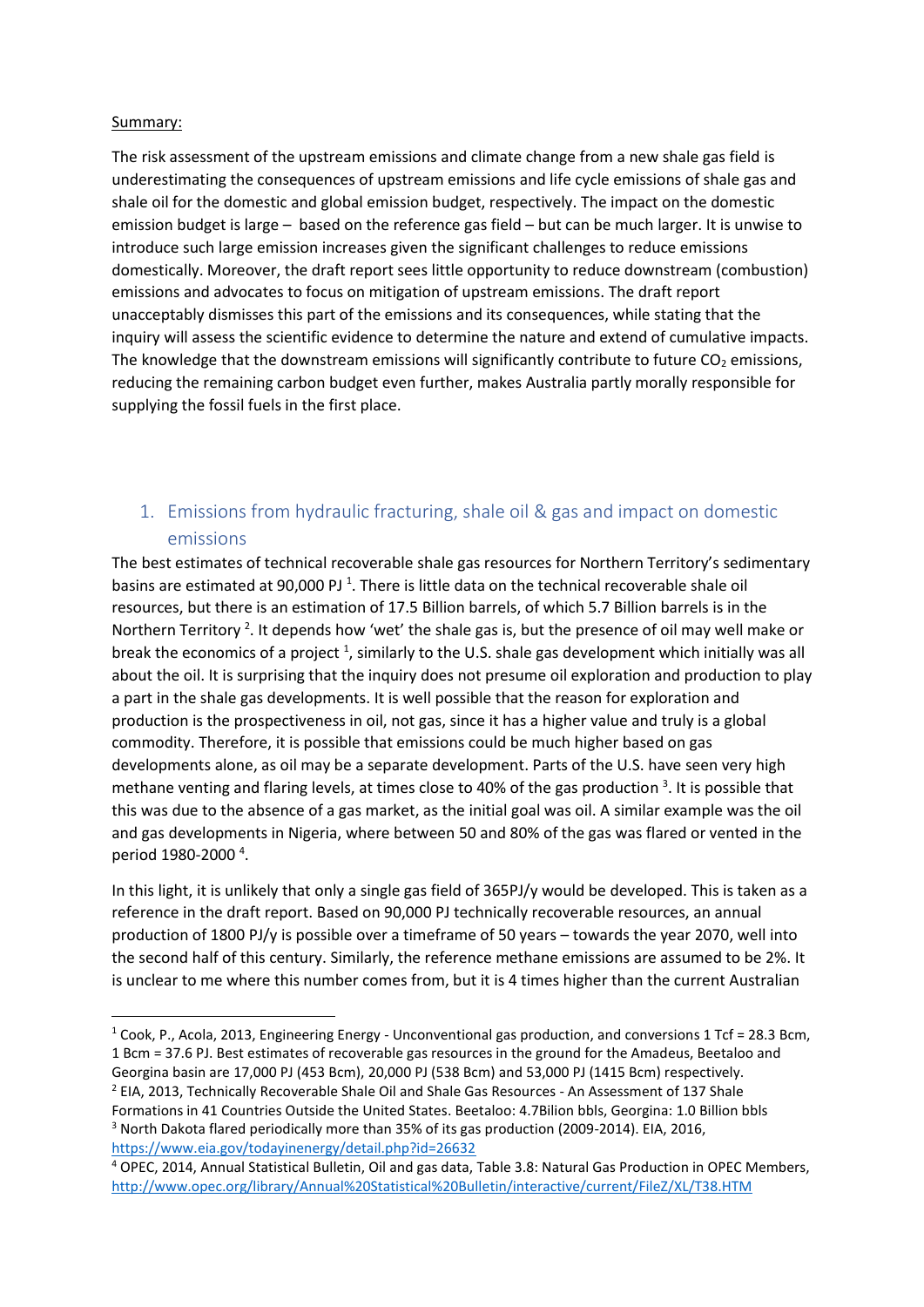#### Summary:

The risk assessment of the upstream emissions and climate change from a new shale gas field is underestimating the consequences of upstream emissions and life cycle emissions of shale gas and shale oil for the domestic and global emission budget, respectively. The impact on the domestic emission budget is large – based on the reference gas field – but can be much larger. It is unwise to introduce such large emission increases given the significant challenges to reduce emissions domestically. Moreover, the draft report sees little opportunity to reduce downstream (combustion) emissions and advocates to focus on mitigation of upstream emissions. The draft report unacceptably dismisses this part of the emissions and its consequences, while stating that the inquiry will assess the scientific evidence to determine the nature and extend of cumulative impacts. The knowledge that the downstream emissions will significantly contribute to future  $CO<sub>2</sub>$  emissions, reducing the remaining carbon budget even further, makes Australia partly morally responsible for supplying the fossil fuels in the first place.

# <span id="page-1-1"></span><span id="page-1-0"></span>1. Emissions from hydraulic fracturing, shale oil & gas and impact on domestic emissions

The best estimates of technical recoverable shale gas resources for Northern Territory's sedimentary basins are estimated at 90,000 PJ<sup>1</sup>. There is little data on the technical recoverable shale oil resources, but there is an estimation of 17.5 Billion barrels, of which 5.7 Billion barrels is in the Northern Territory<sup>2</sup>. It depends how 'wet' the shale gas is, but the presence of oil may well make or break the economics of a project  $^1$  $^1$ , similarly to the U.S. shale gas development which initially was all about the oil. It is surprising that the inquiry does not presume oil exploration and production to play a part in the shale gas developments. It is well possible that the reason for exploration and production is the prospectiveness in oil, not gas, since it has a higher value and truly is a global commodity. Therefore, it is possible that emissions could be much higher based on gas developments alone, as oil may be a separate development. Parts of the U.S. have seen very high methane venting and flaring levels, at times close to 40% of the gas production<sup>3</sup>. It is possible that this was due to the absence of a gas market, as the initial goal was oil. A similar example was the oil and gas developments in Nigeria, where between 50 and 80% of the gas was flared or vented in the period 1980-2000<sup>4</sup>.

<span id="page-1-2"></span>In this light, it is unlikely that only a single gas field of 365PJ/y would be developed. This is taken as a reference in the draft report. Based on 90,000 PJ technically recoverable resources, an annual production of 1800 PJ/y is possible over a timeframe of 50 years – towards the year 2070, well into the second half of this century. Similarly, the reference methane emissions are assumed to be 2%. It is unclear to me where this number comes from, but it is 4 times higher than the current Australian

<sup>&</sup>lt;sup>1</sup> Cook, P., Acola, 2013, Engineering Energy - Unconventional gas production, and conversions 1 Tcf = 28.3 Bcm, 1 Bcm = 37.6 PJ. Best estimates of recoverable gas resources in the ground for the Amadeus, Beetaloo and Georgina basin are 17,000 PJ (453 Bcm), 20,000 PJ (538 Bcm) and 53,000 PJ (1415 Bcm) respectively. <sup>2</sup> EIA, 2013, Technically Recoverable Shale Oil and Shale Gas Resources - An Assessment of 137 Shale

Formations in 41 Countries Outside the United States. Beetaloo: 4.7Bilion bbls, Georgina: 1.0 Billion bbls <sup>3</sup> North Dakota flared periodically more than 35% of its gas production (2009-2014). EIA, 2016, <https://www.eia.gov/todayinenergy/detail.php?id=26632>

<sup>4</sup> OPEC, 2014, Annual Statistical Bulletin, Oil and gas data, Table 3.8: Natural Gas Production in OPEC Members, <http://www.opec.org/library/Annual%20Statistical%20Bulletin/interactive/current/FileZ/XL/T38.HTM>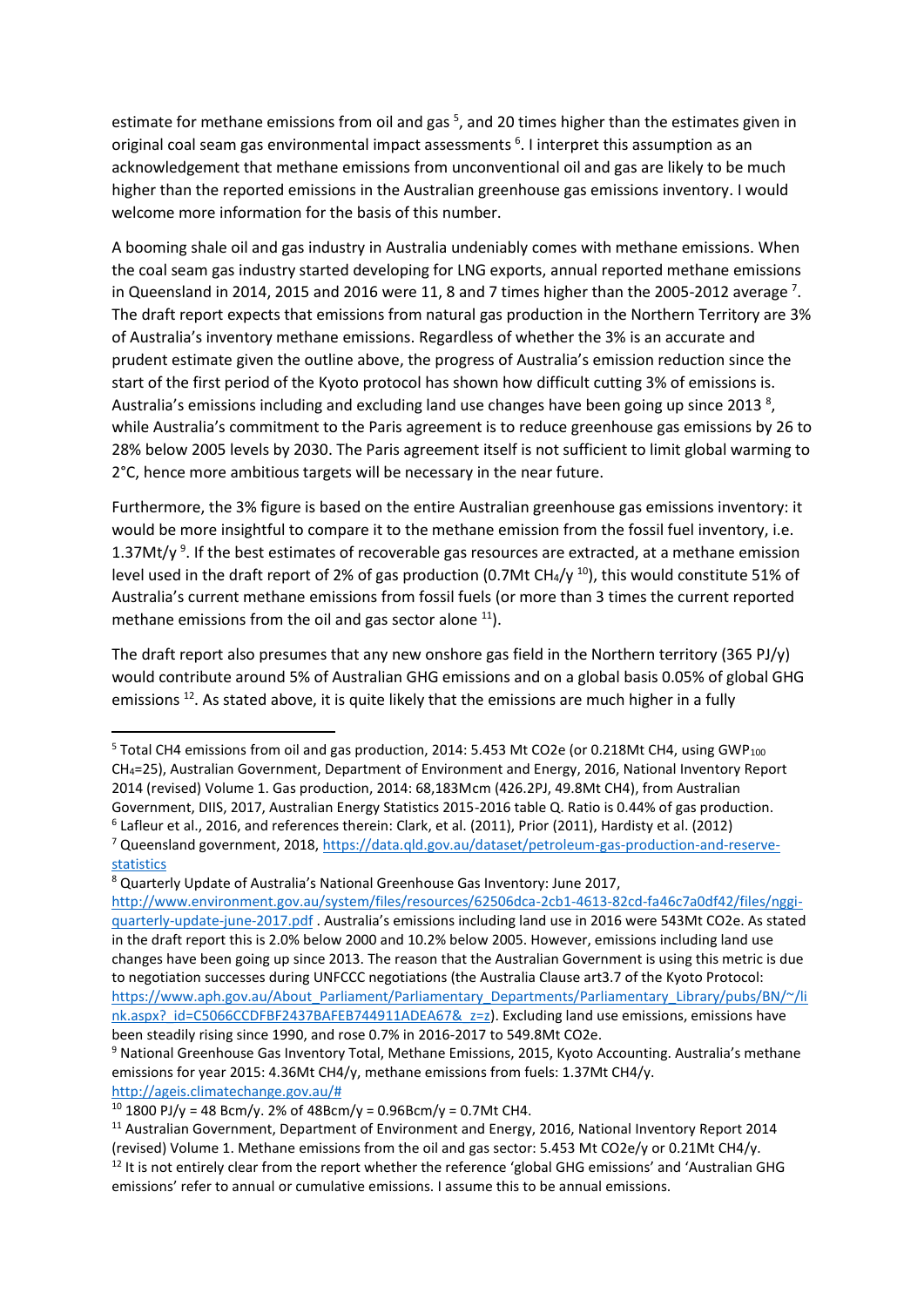estimate for methane emissions from oil and gas<sup>5</sup>, and 20 times higher than the estimates given in original coal seam gas environmental impact assessments 6 . I interpret this assumption as an acknowledgement that methane emissions from unconventional oil and gas are likely to be much higher than the reported emissions in the Australian greenhouse gas emissions inventory. I would welcome more information for the basis of this number.

A booming shale oil and gas industry in Australia undeniably comes with methane emissions. When the coal seam gas industry started developing for LNG exports, annual reported methane emissions in Queensland in 2014, 2015 and 2016 were 11, 8 and 7 times higher than the 2005-2012 average  $^7$ . The draft report expects that emissions from natural gas production in the Northern Territory are 3% of Australia's inventory methane emissions. Regardless of whether the 3% is an accurate and prudent estimate given the outline above, the progress of Australia's emission reduction since the start of the first period of the Kyoto protocol has shown how difficult cutting 3% of emissions is. Australia's emissions including and excluding land use changes have been going up since 2013<sup>8</sup>, while Australia's commitment to the Paris agreement is to reduce greenhouse gas emissions by 26 to 28% below 2005 levels by 2030. The Paris agreement itself is not sufficient to limit global warming to 2°C, hence more ambitious targets will be necessary in the near future.

Furthermore, the 3% figure is based on the entire Australian greenhouse gas emissions inventory: it would be more insightful to compare it to the methane emission from the fossil fuel inventory, i.e. 1.37Mt/y<sup>9</sup>. If the best estimates of recoverable gas resources are extracted, at a methane emission level used in the draft report of 2% of gas production (0.7Mt CH<sub>4</sub>/y<sup>10</sup>), this would constitute 51% of Australia's current methane emissions from fossil fuels (or more than 3 times the current reported methane emissions from the oil and gas sector alone  $11$ ).

The draft report also presumes that any new onshore gas field in the Northern territory (365 PJ/y) would contribute around 5% of Australian GHG emissions and on a global basis 0.05% of global GHG emissions <sup>12</sup>. As stated above, it is quite likely that the emissions are much higher in a fully

<sup>8</sup> Quarterly Update of Australia's National Greenhouse Gas Inventory: June 2017, [http://www.environment.gov.au/system/files/resources/62506dca-2cb1-4613-82cd-fa46c7a0df42/files/nggi](http://www.environment.gov.au/system/files/resources/62506dca-2cb1-4613-82cd-fa46c7a0df42/files/nggi-quarterly-update-june-2017.pdf)[quarterly-update-june-2017.pdf](http://www.environment.gov.au/system/files/resources/62506dca-2cb1-4613-82cd-fa46c7a0df42/files/nggi-quarterly-update-june-2017.pdf) . Australia's emissions including land use in 2016 were 543Mt CO2e. As stated in the draft report this is 2.0% below 2000 and 10.2% below 2005. However, emissions including land use changes have been going up since 2013. The reason that the Australian Government is using this metric is due to negotiation successes during UNFCCC negotiations (the Australia Clause art3.7 of the Kyoto Protocol: [https://www.aph.gov.au/About\\_Parliament/Parliamentary\\_Departments/Parliamentary\\_Library/pubs/BN/~/li](https://www.aph.gov.au/About_Parliament/Parliamentary_Departments/Parliamentary_Library/pubs/BN/~/link.aspx?_id=C5066CCDFBF2437BAFEB744911ADEA67&_z=z) nk.aspx? id=C5066CCDFBF2437BAFEB744911ADEA67& z=z). Excluding land use emissions, emissions have been steadily rising since 1990, and rose 0.7% in 2016-2017 to 549.8Mt CO2e.

<sup>&</sup>lt;sup>5</sup> Total CH4 emissions from oil and gas production, 2014: 5.453 Mt CO2e (or 0.218Mt CH4, using GWP<sub>100</sub> CH4=25), Australian Government, Department of Environment and Energy, 2016, National Inventory Report 2014 (revised) Volume 1. Gas production, 2014: 68,183Mcm (426.2PJ, 49.8Mt CH4), from Australian Government, DIIS, 2017, Australian Energy Statistics 2015-2016 table Q. Ratio is 0.44% of gas production. 6 Lafleur et al., 2016, and references therein: Clark, et al. (2011), Prior (2011), Hardisty et al. (2012)

<sup>7</sup> Queensland government, 2018, [https://data.qld.gov.au/dataset/petroleum-gas-production-and-reserve](https://data.qld.gov.au/dataset/petroleum-gas-production-and-reserve-statistics)[statistics](https://data.qld.gov.au/dataset/petroleum-gas-production-and-reserve-statistics)

<sup>9</sup> National Greenhouse Gas Inventory Total, Methane Emissions, 2015, Kyoto Accounting. Australia's methane emissions for year 2015: 4.36Mt CH4/y, methane emissions from fuels: 1.37Mt CH4/y. [http://ageis.climatechange.gov.au/#](http://ageis.climatechange.gov.au/)

<sup>&</sup>lt;sup>10</sup> 1800 PJ/y = 48 Bcm/y. 2% of 48Bcm/y = 0.96Bcm/y = 0.7Mt CH4.

<sup>&</sup>lt;sup>11</sup> Australian Government, Department of Environment and Energy, 2016, National Inventory Report 2014 (revised) Volume 1. Methane emissions from the oil and gas sector: 5.453 Mt CO2e/y or 0.21Mt CH4/y.  $12$  It is not entirely clear from the report whether the reference 'global GHG emissions' and 'Australian GHG emissions' refer to annual or cumulative emissions. I assume this to be annual emissions.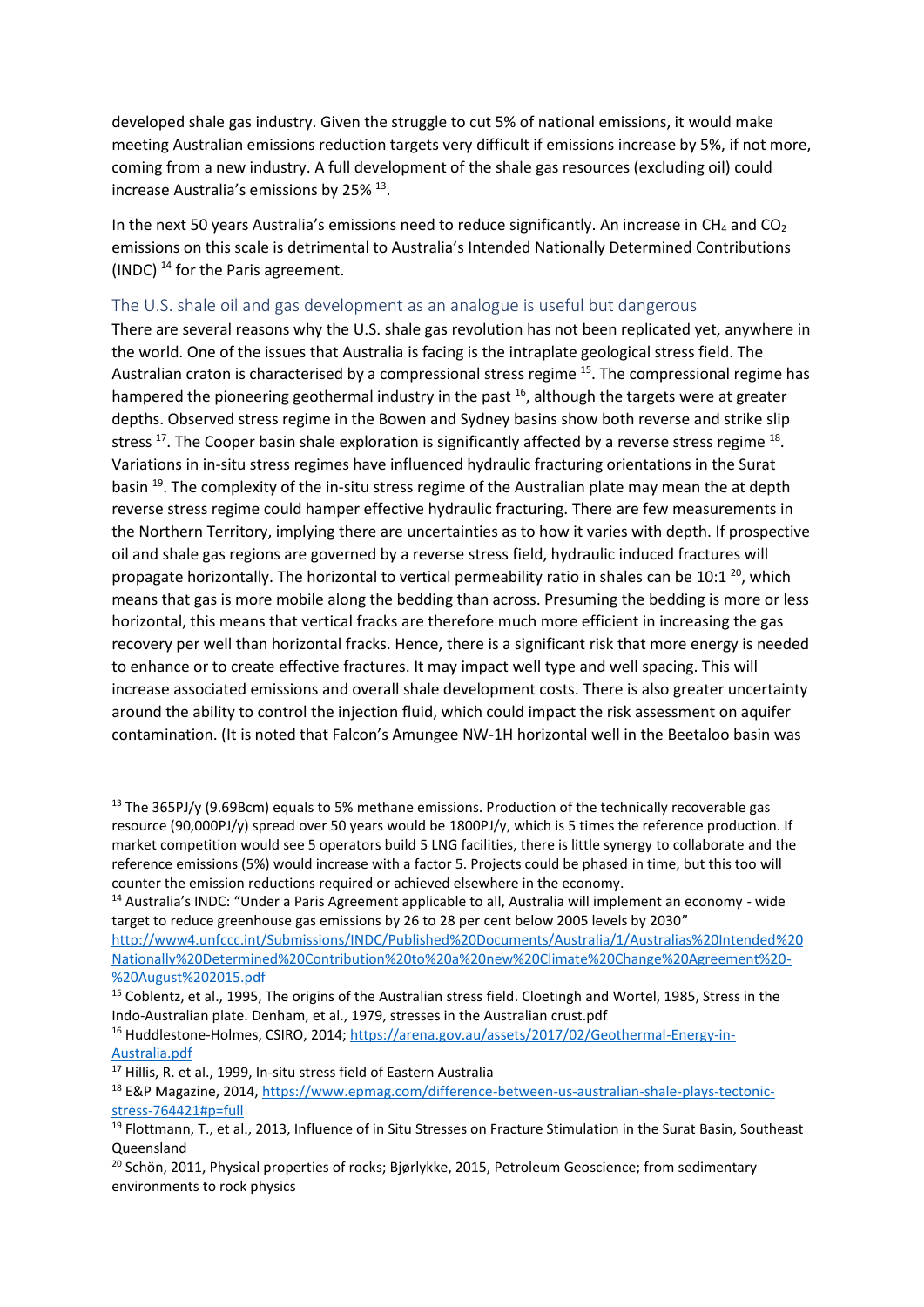developed shale gas industry. Given the struggle to cut 5% of national emissions, it would make meeting Australian emissions reduction targets very difficult if emissions increase by 5%, if not more, coming from a new industry. A full development of the shale gas resources (excluding oil) could increase Australia's emissions by 25% <sup>13</sup>.

In the next 50 years Australia's emissions need to reduce significantly. An increase in CH<sub>4</sub> and CO<sub>2</sub> emissions on this scale is detrimental to Australia's Intended Nationally Determined Contributions (INDC) <sup>14</sup> for the Paris agreement.

### <span id="page-3-0"></span>The U.S. shale oil and gas development as an analogue is useful but dangerous

There are several reasons why the U.S. shale gas revolution has not been replicated yet, anywhere in the world. One of the issues that Australia is facing is the intraplate geological stress field. The Australian craton is characterised by a compressional stress regime <sup>15</sup>. The compressional regime has hampered the pioneering geothermal industry in the past  $^{16}$ , although the targets were at greater depths. Observed stress regime in the Bowen and Sydney basins show both reverse and strike slip stress  $^{17}$ . The Cooper basin shale exploration is significantly affected by a reverse stress regime  $^{18}$ . Variations in in-situ stress regimes have influenced hydraulic fracturing orientations in the Surat basin <sup>19</sup>. The complexity of the in-situ stress regime of the Australian plate may mean the at depth reverse stress regime could hamper effective hydraulic fracturing. There are few measurements in the Northern Territory, implying there are uncertainties as to how it varies with depth. If prospective oil and shale gas regions are governed by a reverse stress field, hydraulic induced fractures will propagate horizontally. The horizontal to vertical permeability ratio in shales can be 10:1  $^{20}$ , which means that gas is more mobile along the bedding than across. Presuming the bedding is more or less horizontal, this means that vertical fracks are therefore much more efficient in increasing the gas recovery per well than horizontal fracks. Hence, there is a significant risk that more energy is needed to enhance or to create effective fractures. It may impact well type and well spacing. This will increase associated emissions and overall shale development costs. There is also greater uncertainty around the ability to control the injection fluid, which could impact the risk assessment on aquifer contamination. (It is noted that Falcon's Amungee NW-1H horizontal well in the Beetaloo basin was

<sup>&</sup>lt;sup>13</sup> The 365PJ/y (9.69Bcm) equals to 5% methane emissions. Production of the technically recoverable gas resource (90,000PJ/y) spread over 50 years would be 1800PJ/y, which is 5 times the reference production. If market competition would see 5 operators build 5 LNG facilities, there is little synergy to collaborate and the reference emissions (5%) would increase with a factor 5. Projects could be phased in time, but this too will counter the emission reductions required or achieved elsewhere in the economy.

<sup>14</sup> Australia's INDC: "Under a Paris Agreement applicable to all, Australia will implement an economy - wide target to reduce greenhouse gas emissions by 26 to 28 per cent below 2005 levels by 2030" [http://www4.unfccc.int/Submissions/INDC/Published%20Documents/Australia/1/Australias%20Intended%20](http://www4.unfccc.int/Submissions/INDC/Published%20Documents/Australia/1/Australias%20Intended%20Nationally%20Determined%20Contribution%20to%20a%20new%20Climate%20Change%20Agreement%20-%20August%202015.pdf) [Nationally%20Determined%20Contribution%20to%20a%20new%20Climate%20Change%20Agreement%20-](http://www4.unfccc.int/Submissions/INDC/Published%20Documents/Australia/1/Australias%20Intended%20Nationally%20Determined%20Contribution%20to%20a%20new%20Climate%20Change%20Agreement%20-%20August%202015.pdf) [%20August%202015.pdf](http://www4.unfccc.int/Submissions/INDC/Published%20Documents/Australia/1/Australias%20Intended%20Nationally%20Determined%20Contribution%20to%20a%20new%20Climate%20Change%20Agreement%20-%20August%202015.pdf)

<sup>&</sup>lt;sup>15</sup> Coblentz, et al., 1995, The origins of the Australian stress field. Cloetingh and Wortel, 1985, Stress in the Indo-Australian plate. Denham, et al., 1979, stresses in the Australian crust.pdf

<sup>&</sup>lt;sup>16</sup> Huddlestone-Holmes, CSIRO, 2014; [https://arena.gov.au/assets/2017/02/Geothermal-Energy-in-](https://arena.gov.au/assets/2017/02/Geothermal-Energy-in-Australia.pdf)[Australia.pdf](https://arena.gov.au/assets/2017/02/Geothermal-Energy-in-Australia.pdf)

<sup>&</sup>lt;sup>17</sup> Hillis, R. et al., 1999, In-situ stress field of Eastern Australia

<sup>18</sup> E&P Magazine, 2014, [https://www.epmag.com/difference-between-us-australian-shale-plays-tectonic](https://www.epmag.com/difference-between-us-australian-shale-plays-tectonic-stress-764421#p=full)[stress-764421#p=full](https://www.epmag.com/difference-between-us-australian-shale-plays-tectonic-stress-764421#p=full)

<sup>&</sup>lt;sup>19</sup> Flottmann, T., et al., 2013, Influence of in Situ Stresses on Fracture Stimulation in the Surat Basin, Southeast Queensland

<sup>&</sup>lt;sup>20</sup> Schön, 2011, Physical properties of rocks; Biørlykke, 2015, Petroleum Geoscience; from sedimentary environments to rock physics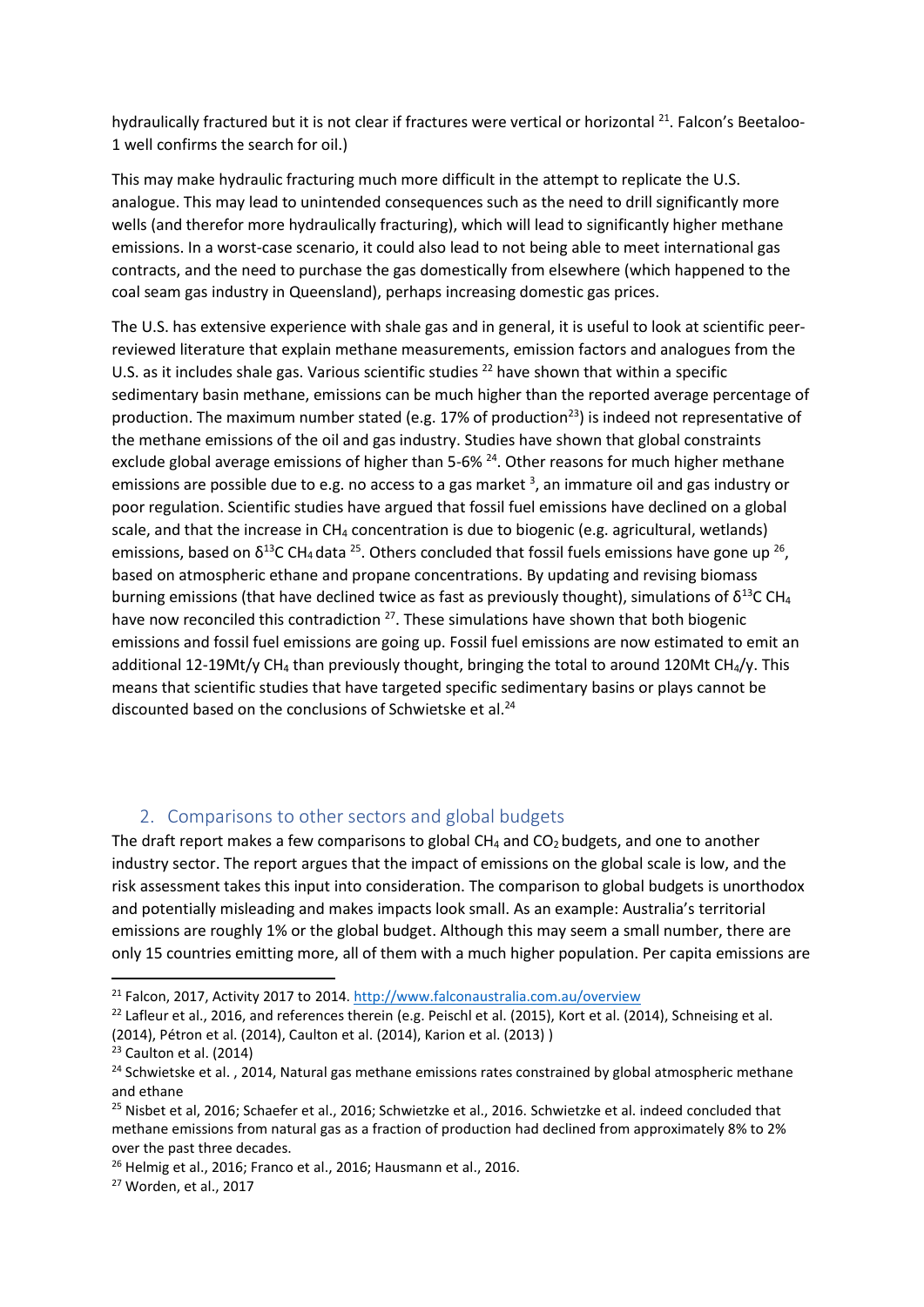hydraulically fractured but it is not clear if fractures were vertical or horizontal <sup>21</sup>. Falcon's Beetaloo-1 well confirms the search for oil.)

This may make hydraulic fracturing much more difficult in the attempt to replicate the U.S. analogue. This may lead to unintended consequences such as the need to drill significantly more wells (and therefor more hydraulically fracturing), which will lead to significantly higher methane emissions. In a worst-case scenario, it could also lead to not being able to meet international gas contracts, and the need to purchase the gas domestically from elsewhere (which happened to the coal seam gas industry in Queensland), perhaps increasing domestic gas prices.

<span id="page-4-1"></span>The U.S. has extensive experience with shale gas and in general, it is useful to look at scientific peerreviewed literature that explain methane measurements, emission factors and analogues from the U.S. as it includes shale gas. Various scientific studies  $^{22}$  have shown that within a specific sedimentary basin methane, emissions can be much higher than the reported average percentage of production. The maximum number stated (e.g. 17% of production<sup>23</sup>) is indeed not representative of the methane emissions of the oil and gas industry. Studies have shown that global constraints exclude global average emissions of higher than 5-6%<sup>24</sup>. Other reasons for much higher methane emissionsare possible due to e.g. no access to a gas market <sup>3</sup>, an immature oil and gas industry or poor regulation. Scientific studies have argued that fossil fuel emissions have declined on a global scale, and that the increase in  $CH_4$  concentration is due to biogenic (e.g. agricultural, wetlands) emissions, based on  $\delta^{13}$ C CH<sub>4</sub> data <sup>25</sup>. Others concluded that fossil fuels emissions have gone up <sup>26</sup>, based on atmospheric ethane and propane concentrations. By updating and revising biomass burning emissions (that have declined twice as fast as previously thought), simulations of  $\delta^{13}$ C CH<sub>4</sub> have now reconciled this contradiction  $27$ . These simulations have shown that both biogenic emissions and fossil fuel emissions are going up. Fossil fuel emissions are now estimated to emit an additional 12-19Mt/y CH<sub>4</sub> than previously thought, bringing the total to around 120Mt CH<sub>4</sub>/y. This means that scientific studies that have targeted specific sedimentary basins or plays cannot be discounted based on the conclusions of Schwietske et al.<sup>[24](#page-4-1)</sup>

## 2. Comparisons to other sectors and global budgets

<span id="page-4-0"></span>The draft report makes a few comparisons to global  $CH_4$  and  $CO_2$  budgets, and one to another industry sector. The report argues that the impact of emissions on the global scale is low, and the risk assessment takes this input into consideration. The comparison to global budgets is unorthodox and potentially misleading and makes impacts look small. As an example: Australia's territorial emissions are roughly 1% or the global budget. Although this may seem a small number, there are only 15 countries emitting more, all of them with a much higher population. Per capita emissions are

<sup>21</sup> Falcon, 2017, Activity 2017 to 2014.<http://www.falconaustralia.com.au/overview>

 $22$  Lafleur et al., 2016, and references therein (e.g. Peischl et al. (2015), Kort et al. (2014), Schneising et al. (2014), Pétron et al. (2014), Caulton et al. (2014), Karion et al. (2013) )

<sup>&</sup>lt;sup>23</sup> Caulton et al. (2014)

<sup>&</sup>lt;sup>24</sup> Schwietske et al., 2014, Natural gas methane emissions rates constrained by global atmospheric methane and ethane

<sup>&</sup>lt;sup>25</sup> Nisbet et al, 2016; Schaefer et al., 2016; Schwietzke et al., 2016. Schwietzke et al. indeed concluded that methane emissions from natural gas as a fraction of production had declined from approximately 8% to 2% over the past three decades.

 $26$  Helmig et al., 2016; Franco et al., 2016; Hausmann et al., 2016.

<sup>27</sup> Worden, et al., 2017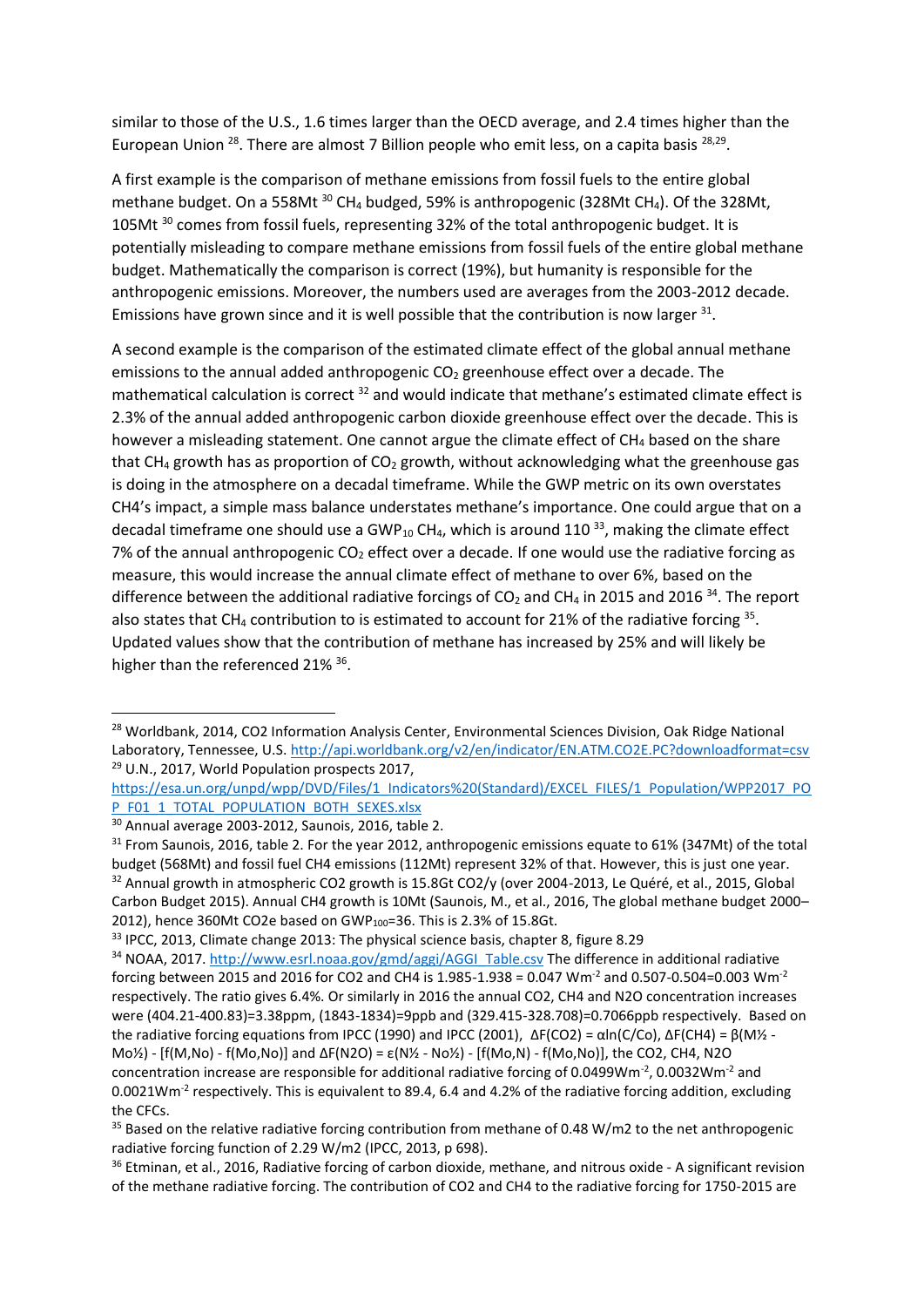<span id="page-5-0"></span>similar to those of the U.S., 1.6 times larger than the OECD average, and 2.4 times higher than the European Union <sup>28</sup>. There are almost 7 Billion people who emit less, on a capita basis <sup>[28,](#page-5-0)29</sup>.

<span id="page-5-1"></span>A first example is the comparison of methane emissions from fossil fuels to the entire global methane budget. On a 558Mt  $30$  CH<sub>4</sub> budged, 59% is anthropogenic (328Mt CH<sub>4</sub>). Of the 328Mt, 105Mt <sup>[30](#page-5-1)</sup> comes from fossil fuels, representing 32% of the total anthropogenic budget. It is potentially misleading to compare methane emissions from fossil fuels of the entire global methane budget. Mathematically the comparison is correct (19%), but humanity is responsible for the anthropogenic emissions. Moreover, the numbers used are averages from the 2003-2012 decade. Emissions have grown since and it is well possible that the contribution is now larger  $31$ .

A second example is the comparison of the estimated climate effect of the global annual methane emissions to the annual added anthropogenic  $CO<sub>2</sub>$  greenhouse effect over a decade. The mathematical calculation is correct <sup>32</sup> and would indicate that methane's estimated climate effect is 2.3% of the annual added anthropogenic carbon dioxide greenhouse effect over the decade. This is however a misleading statement. One cannot argue the climate effect of CH<sub>4</sub> based on the share that  $CH_4$  growth has as proportion of  $CO_2$  growth, without acknowledging what the greenhouse gas is doing in the atmosphere on a decadal timeframe. While the GWP metric on its own overstates CH4's impact, a simple mass balance understates methane's importance. One could argue that on a decadal timeframe one should use a GWP<sub>10</sub> CH<sub>4</sub>, which is around 110<sup>33</sup>, making the climate effect 7% of the annual anthropogenic  $CO<sub>2</sub>$  effect over a decade. If one would use the radiative forcing as measure, this would increase the annual climate effect of methane to over 6%, based on the difference between the additional radiative forcings of  $CO<sub>2</sub>$  and CH<sub>4</sub> in 2015 and 2016<sup>34</sup>. The report also states that CH<sub>4</sub> contribution to is estimated to account for 21% of the radiative forcing  $35$ . Updated values show that the contribution of methane has increased by 25% and will likely be higher than the referenced 21% <sup>36</sup>.

**.** 

<sup>&</sup>lt;sup>28</sup> Worldbank, 2014, CO2 Information Analysis Center, Environmental Sciences Division, Oak Ridge National Laboratory, Tennessee, U.S.<http://api.worldbank.org/v2/en/indicator/EN.ATM.CO2E.PC?downloadformat=csv> <sup>29</sup> U.N., 2017, World Population prospects 2017,

[https://esa.un.org/unpd/wpp/DVD/Files/1\\_Indicators%20\(Standard\)/EXCEL\\_FILES/1\\_Population/WPP2017\\_PO](https://esa.un.org/unpd/wpp/DVD/Files/1_Indicators%20(Standard)/EXCEL_FILES/1_Population/WPP2017_POP_F01_1_TOTAL_POPULATION_BOTH_SEXES.xlsx) [P\\_F01\\_1\\_TOTAL\\_POPULATION\\_BOTH\\_SEXES.xlsx](https://esa.un.org/unpd/wpp/DVD/Files/1_Indicators%20(Standard)/EXCEL_FILES/1_Population/WPP2017_POP_F01_1_TOTAL_POPULATION_BOTH_SEXES.xlsx)

<sup>30</sup> Annual average 2003-2012, Saunois, 2016, table 2.

<sup>&</sup>lt;sup>31</sup> From Saunois, 2016, table 2. For the year 2012, anthropogenic emissions equate to 61% (347Mt) of the total budget (568Mt) and fossil fuel CH4 emissions (112Mt) represent 32% of that. However, this is just one year. <sup>32</sup> Annual growth in atmospheric CO2 growth is 15.8Gt CO2/y (over 2004-2013, Le Quéré, et al., 2015, Global Carbon Budget 2015). Annual CH4 growth is 10Mt (Saunois, M., et al., 2016, The global methane budget 2000– 2012), hence 360Mt CO2e based on GWP<sub>100</sub>=36. This is 2.3% of 15.8Gt.

 $33$  IPCC, 2013, Climate change 2013: The physical science basis, chapter 8, figure 8.29

<sup>34</sup> NOAA, 2017. [http://www.esrl.noaa.gov/gmd/aggi/AGGI\\_Table.csv](http://www.esrl.noaa.gov/gmd/aggi/AGGI_Table.csv) The difference in additional radiative forcing between 2015 and 2016 for CO2 and CH4 is 1.985-1.938 = 0.047 Wm<sup>-2</sup> and 0.507-0.504=0.003 Wm<sup>-2</sup> respectively. The ratio gives 6.4%. Or similarly in 2016 the annual CO2, CH4 and N2O concentration increases were (404.21-400.83)=3.38ppm, (1843-1834)=9ppb and (329.415-328.708)=0.7066ppb respectively. Based on the radiative forcing equations from IPCC (1990) and IPCC (2001),  $\Delta F(CO2) = \alpha \ln(C/CO)$ ,  $\Delta F(CH4) = \beta \left(M\frac{1}{2}\right)$  $M_0$ %) - [f(M,No) - f(Mo,No)] and ΔF(N2O) = ε(N<sup>y</sup><sub>2</sub> - No<sup>y</sup><sub>2</sub>) - [f(Mo,N) - f(Mo,No)], the CO2, CH4, N2O concentration increase are responsible for additional radiative forcing of 0.0499Wm<sup>-2</sup>, 0.0032Wm<sup>-2</sup> and 0.0021Wm<sup>-2</sup> respectively. This is equivalent to 89.4, 6.4 and 4.2% of the radiative forcing addition, excluding the CFCs.

<sup>&</sup>lt;sup>35</sup> Based on the relative radiative forcing contribution from methane of 0.48 W/m2 to the net anthropogenic radiative forcing function of 2.29 W/m2 (IPCC, 2013, p 698).

<sup>&</sup>lt;sup>36</sup> Etminan, et al., 2016, Radiative forcing of carbon dioxide, methane, and nitrous oxide - A significant revision of the methane radiative forcing. The contribution of CO2 and CH4 to the radiative forcing for 1750-2015 are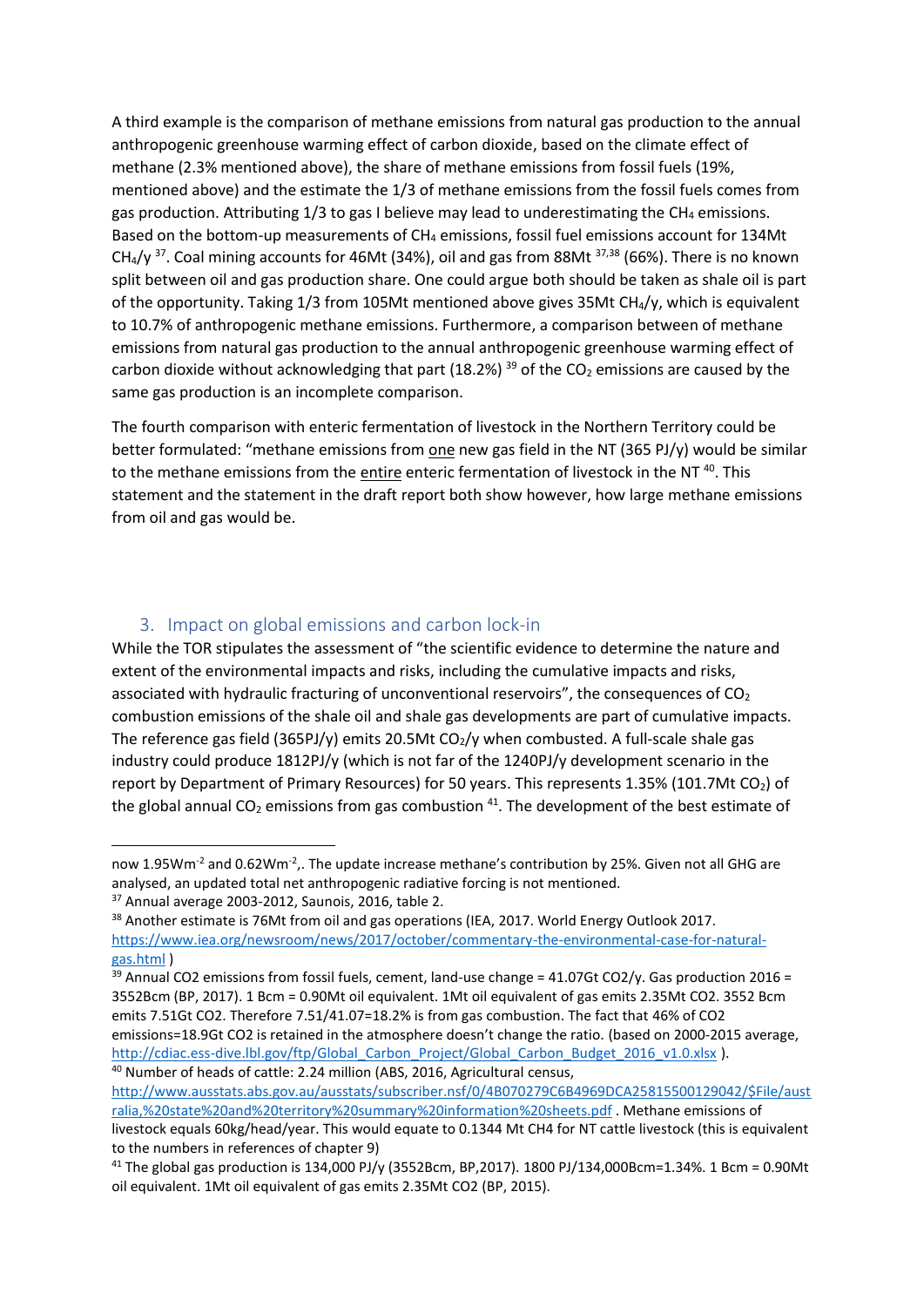<span id="page-6-1"></span>A third example is the comparison of methane emissions from natural gas production to the annual anthropogenic greenhouse warming effect of carbon dioxide, based on the climate effect of methane (2.3% mentioned above), the share of methane emissions from fossil fuels (19%, mentioned above) and the estimate the 1/3 of methane emissions from the fossil fuels comes from gas production. Attributing  $1/3$  to gas I believe may lead to underestimating the CH<sub>4</sub> emissions. Based on the bottom-up measurements of  $CH_4$  emissions, fossil fuel emissions account for 134Mt  $CH_4$ /y <sup>37</sup>. Coal mining accounts for 46Mt (34%), oil and gas from 88Mt  $37,38$  $37,38$  (66%). There is no known split between oil and gas production share. One could argue both should be taken as shale oil is part of the opportunity. Taking 1/3 from 105Mt mentioned above gives 35Mt CH4/y, which is equivalent to 10.7% of anthropogenic methane emissions. Furthermore, a comparison between of methane emissions from natural gas production to the annual anthropogenic greenhouse warming effect of carbon dioxide without acknowledging that part (18.2%) <sup>39</sup> of the CO<sub>2</sub> emissions are caused by the same gas production is an incomplete comparison.

The fourth comparison with enteric fermentation of livestock in the Northern Territory could be better formulated: "methane emissions from one new gas field in the NT (365 PJ/y) would be similar to the methane emissions from the *entire* enteric fermentation of livestock in the NT<sup>40</sup>. This statement and the statement in the draft report both show however, how large methane emissions from oil and gas would be.

## 3. Impact on global emissions and carbon lock-in

<span id="page-6-0"></span>While the TOR stipulates the assessment of "the scientific evidence to determine the nature and extent of the environmental impacts and risks, including the cumulative impacts and risks, associated with hydraulic fracturing of unconventional reservoirs", the consequences of CO<sub>2</sub> combustion emissions of the shale oil and shale gas developments are part of cumulative impacts. The reference gas field (365PJ/y) emits 20.5Mt  $CO<sub>2</sub>/y$  when combusted. A full-scale shale gas industry could produce 1812PJ/y (which is not far of the 1240PJ/y development scenario in the report by Department of Primary Resources) for 50 years. This represents 1.35% (101.7Mt CO<sub>2</sub>) of the global annual  $CO<sub>2</sub>$  emissions from gas combustion  $^{41}$ . The development of the best estimate of

now 1.95Wm<sup>-2</sup> and 0.62Wm<sup>-2</sup>,. The update increase methane's contribution by 25%. Given not all GHG are analysed, an updated total net anthropogenic radiative forcing is not mentioned.

<sup>&</sup>lt;sup>37</sup> Annual average 2003-2012, Saunois, 2016, table 2.

<sup>&</sup>lt;sup>38</sup> Another estimate is 76Mt from oil and gas operations (IEA, 2017. World Energy Outlook 2017. [https://www.iea.org/newsroom/news/2017/october/commentary-the-environmental-case-for-natural](https://www.iea.org/newsroom/news/2017/october/commentary-the-environmental-case-for-natural-gas.html)[gas.html](https://www.iea.org/newsroom/news/2017/october/commentary-the-environmental-case-for-natural-gas.html) )

 $39$  Annual CO2 emissions from fossil fuels, cement, land-use change = 41.07Gt CO2/y. Gas production 2016 = 3552Bcm (BP, 2017). 1 Bcm = 0.90Mt oil equivalent. 1Mt oil equivalent of gas emits 2.35Mt CO2. 3552 Bcm emits 7.51Gt CO2. Therefore 7.51/41.07=18.2% is from gas combustion. The fact that 46% of CO2 emissions=18.9Gt CO2 is retained in the atmosphere doesn't change the ratio. (based on 2000-2015 average, http://cdiac.ess-dive.lbl.gov/ftp/Global Carbon Project/Global Carbon Budget 2016 v1.0.xlsx ).

<sup>&</sup>lt;sup>40</sup> Number of heads of cattle: 2.24 million (ABS, 2016, Agricultural census, [http://www.ausstats.abs.gov.au/ausstats/subscriber.nsf/0/4B070279C6B4969DCA25815500129042/\\$File/aust](http://www.ausstats.abs.gov.au/ausstats/subscriber.nsf/0/4B070279C6B4969DCA25815500129042/$File/australia,%20state%20and%20territory%20summary%20information%20sheets.pdf) [ralia,%20state%20and%20territory%20summary%20information%20sheets.pdf](http://www.ausstats.abs.gov.au/ausstats/subscriber.nsf/0/4B070279C6B4969DCA25815500129042/$File/australia,%20state%20and%20territory%20summary%20information%20sheets.pdf) . Methane emissions of

livestock equals 60kg/head/year. This would equate to 0.1344 Mt CH4 for NT cattle livestock (this is equivalent to the numbers in references of chapter 9)

<sup>&</sup>lt;sup>41</sup> The global gas production is 134,000 PJ/y (3552Bcm, BP,2017). 1800 PJ/134,000Bcm=1.34%. 1 Bcm = 0.90Mt oil equivalent. 1Mt oil equivalent of gas emits 2.35Mt CO2 (BP, 2015).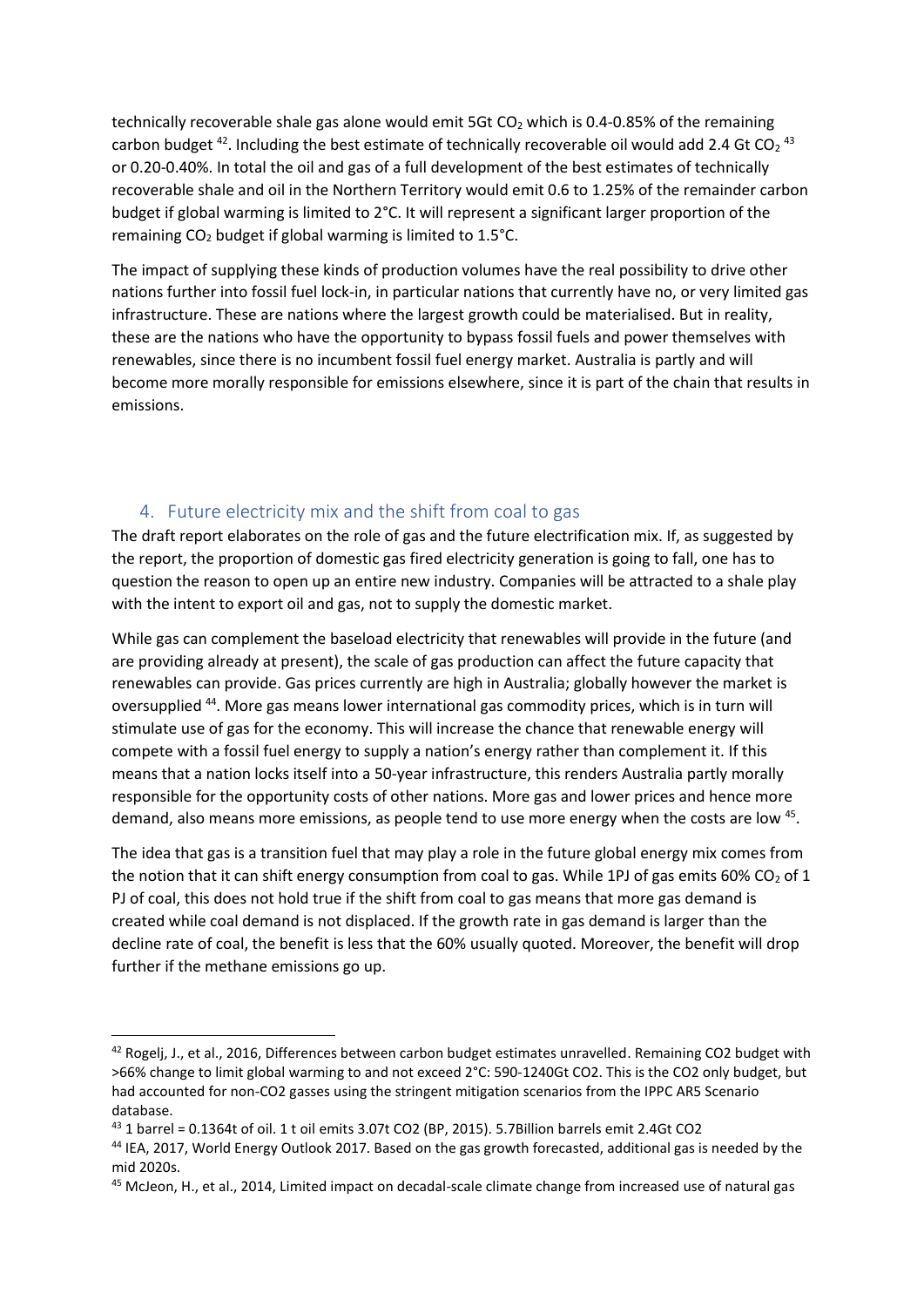technically recoverable shale gas alone would emit 5Gt  $CO<sub>2</sub>$  which is 0.4-0.85% of the remaining carbon budget <sup>42</sup>. Including the best estimate of technically recoverable oil would add 2.4 Gt CO<sub>2</sub><sup>43</sup> or 0.20-0.40%. In total the oil and gas of a full development of the best estimates of technically recoverable shale and oil in the Northern Territory would emit 0.6 to 1.25% of the remainder carbon budget if global warming is limited to 2°C. It will represent a significant larger proportion of the remaining  $CO<sub>2</sub>$  budget if global warming is limited to 1.5 $°C$ .

The impact of supplying these kinds of production volumes have the real possibility to drive other nations further into fossil fuel lock-in, in particular nations that currently have no, or very limited gas infrastructure. These are nations where the largest growth could be materialised. But in reality, these are the nations who have the opportunity to bypass fossil fuels and power themselves with renewables, since there is no incumbent fossil fuel energy market. Australia is partly and will become more morally responsible for emissions elsewhere, since it is part of the chain that results in emissions.

#### 4. Future electricity mix and the shift from coal to gas

<span id="page-7-0"></span>The draft report elaborates on the role of gas and the future electrification mix. If, as suggested by the report, the proportion of domestic gas fired electricity generation is going to fall, one has to question the reason to open up an entire new industry. Companies will be attracted to a shale play with the intent to export oil and gas, not to supply the domestic market.

While gas can complement the baseload electricity that renewables will provide in the future (and are providing already at present), the scale of gas production can affect the future capacity that renewables can provide. Gas prices currently are high in Australia; globally however the market is oversupplied <sup>44</sup>. More gas means lower international gas commodity prices, which is in turn will stimulate use of gas for the economy. This will increase the chance that renewable energy will compete with a fossil fuel energy to supply a nation's energy rather than complement it. If this means that a nation locks itself into a 50-year infrastructure, this renders Australia partly morally responsible for the opportunity costs of other nations. More gas and lower prices and hence more demand, also means more emissions, as people tend to use more energy when the costs are low <sup>45</sup>.

The idea that gas is a transition fuel that may play a role in the future global energy mix comes from the notion that it can shift energy consumption from coal to gas. While 1PJ of gas emits 60% CO<sub>2</sub> of 1 PJ of coal, this does not hold true if the shift from coal to gas means that more gas demand is created while coal demand is not displaced. If the growth rate in gas demand is larger than the decline rate of coal, the benefit is less that the 60% usually quoted. Moreover, the benefit will drop further if the methane emissions go up.

<sup>42</sup> Rogelj, J., et al., 2016, Differences between carbon budget estimates unravelled. Remaining CO2 budget with >66% change to limit global warming to and not exceed 2°C: 590-1240Gt CO2. This is the CO2 only budget, but had accounted for non-CO2 gasses using the stringent mitigation scenarios from the IPPC AR5 Scenario database.

<sup>43</sup> 1 barrel = 0.1364t of oil. 1 t oil emits 3.07t CO2 (BP, 2015). 5.7Billion barrels emit 2.4Gt CO2

<sup>44</sup> IEA, 2017, World Energy Outlook 2017. Based on the gas growth forecasted, additional gas is needed by the mid 2020s.

<sup>45</sup> McJeon, H., et al., 2014, Limited impact on decadal-scale climate change from increased use of natural gas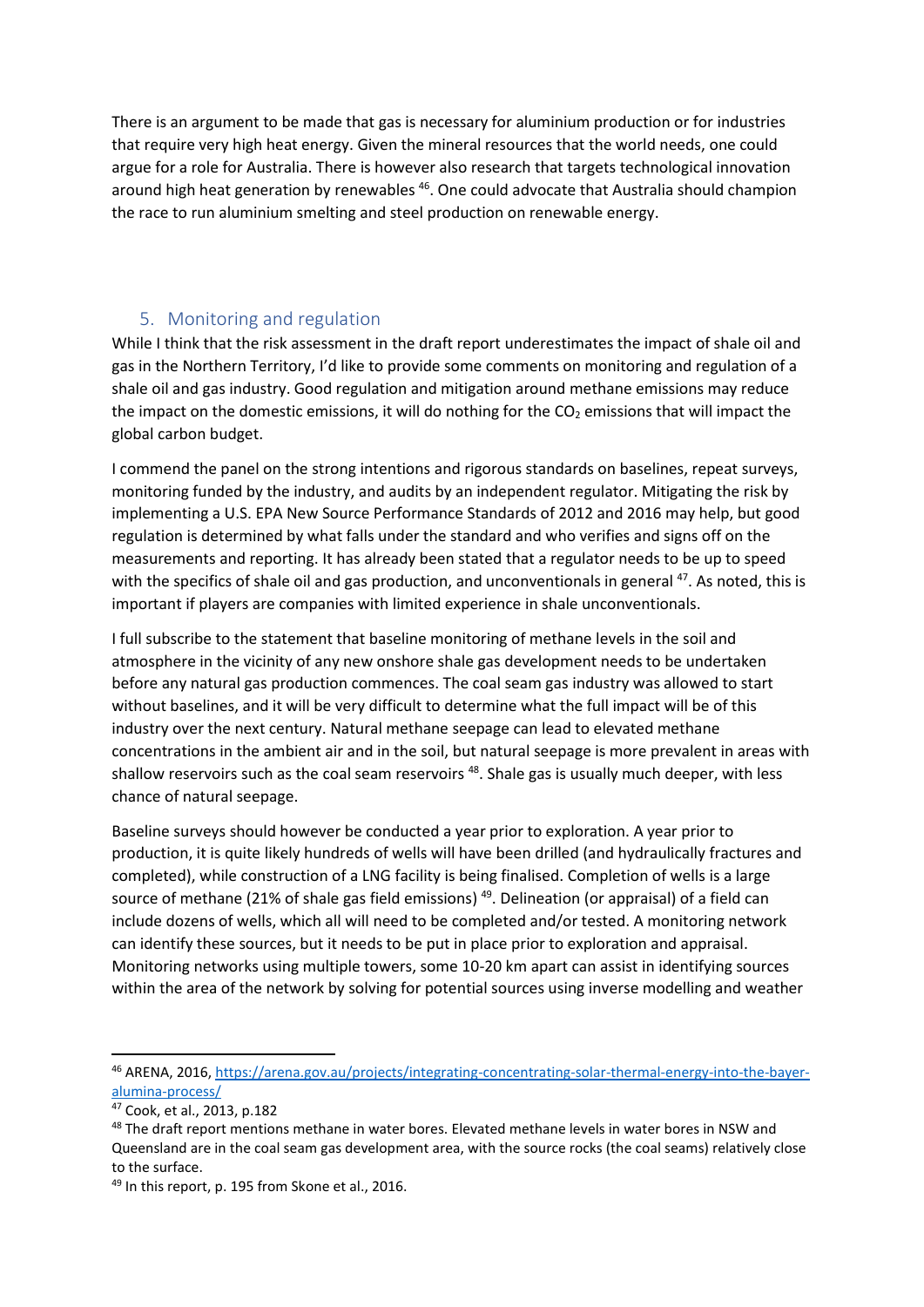There is an argument to be made that gas is necessary for aluminium production or for industries that require very high heat energy. Given the mineral resources that the world needs, one could argue for a role for Australia. There is however also research that targets technological innovation around high heat generation by renewables <sup>46</sup>. One could advocate that Australia should champion the race to run aluminium smelting and steel production on renewable energy.

# 5. Monitoring and regulation

<span id="page-8-0"></span>While I think that the risk assessment in the draft report underestimates the impact of shale oil and gas in the Northern Territory, I'd like to provide some comments on monitoring and regulation of a shale oil and gas industry. Good regulation and mitigation around methane emissions may reduce the impact on the domestic emissions, it will do nothing for the  $CO<sub>2</sub>$  emissions that will impact the global carbon budget.

I commend the panel on the strong intentions and rigorous standards on baselines, repeat surveys, monitoring funded by the industry, and audits by an independent regulator. Mitigating the risk by implementing a U.S. EPA New Source Performance Standards of 2012 and 2016 may help, but good regulation is determined by what falls under the standard and who verifies and signs off on the measurements and reporting. It has already been stated that a regulator needs to be up to speed with the specifics of shale oil and gas production, and unconventionals in general <sup>47</sup>. As noted, this is important if players are companies with limited experience in shale unconventionals.

I full subscribe to the statement that baseline monitoring of methane levels in the soil and atmosphere in the vicinity of any new onshore shale gas development needs to be undertaken before any natural gas production commences. The coal seam gas industry was allowed to start without baselines, and it will be very difficult to determine what the full impact will be of this industry over the next century. Natural methane seepage can lead to elevated methane concentrations in the ambient air and in the soil, but natural seepage is more prevalent in areas with shallow reservoirs such as the coal seam reservoirs<sup>48</sup>. Shale gas is usually much deeper, with less chance of natural seepage.

Baseline surveys should however be conducted a year prior to exploration. A year prior to production, it is quite likely hundreds of wells will have been drilled (and hydraulically fractures and completed), while construction of a LNG facility is being finalised. Completion of wells is a large source of methane (21% of shale gas field emissions)<sup>49</sup>. Delineation (or appraisal) of a field can include dozens of wells, which all will need to be completed and/or tested. A monitoring network can identify these sources, but it needs to be put in place prior to exploration and appraisal. Monitoring networks using multiple towers, some 10-20 km apart can assist in identifying sources within the area of the network by solving for potential sources using inverse modelling and weather

<sup>46</sup> ARENA, 2016, [https://arena.gov.au/projects/integrating-concentrating-solar-thermal-energy-into-the-bayer](https://arena.gov.au/projects/integrating-concentrating-solar-thermal-energy-into-the-bayer-alumina-process/)[alumina-process/](https://arena.gov.au/projects/integrating-concentrating-solar-thermal-energy-into-the-bayer-alumina-process/)

<sup>47</sup> Cook, et al., 2013, p.182

<sup>&</sup>lt;sup>48</sup> The draft report mentions methane in water bores. Elevated methane levels in water bores in NSW and Queensland are in the coal seam gas development area, with the source rocks (the coal seams) relatively close to the surface.

<sup>49</sup> In this report, p. 195 from Skone et al., 2016.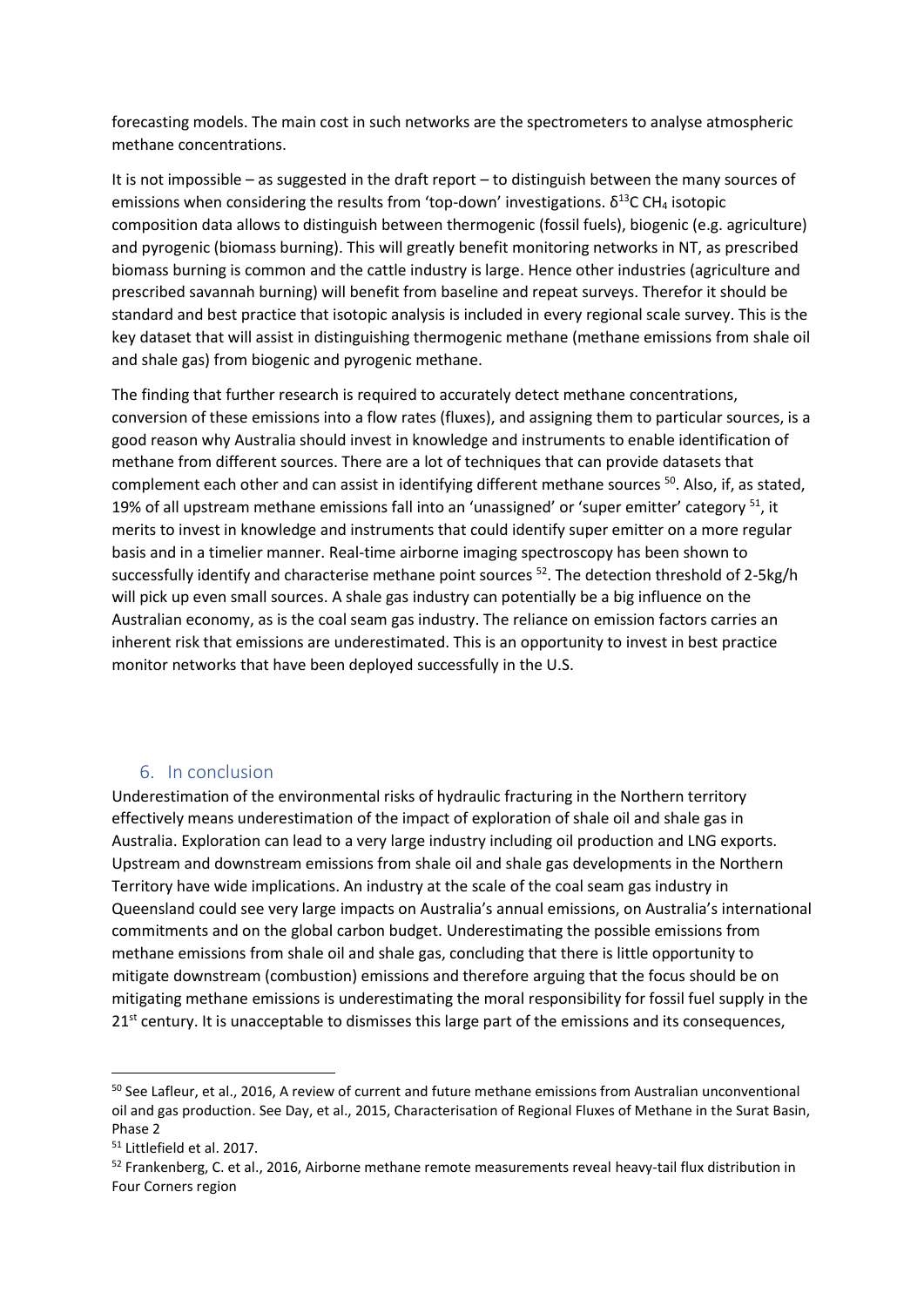forecasting models. The main cost in such networks are the spectrometers to analyse atmospheric methane concentrations.

It is not impossible – as suggested in the draft report – to distinguish between the many sources of emissions when considering the results from 'top-down' investigations.  $\delta^{13}$ C CH<sub>4</sub> isotopic composition data allows to distinguish between thermogenic (fossil fuels), biogenic (e.g. agriculture) and pyrogenic (biomass burning). This will greatly benefit monitoring networks in NT, as prescribed biomass burning is common and the cattle industry is large. Hence other industries (agriculture and prescribed savannah burning) will benefit from baseline and repeat surveys. Therefor it should be standard and best practice that isotopic analysis is included in every regional scale survey. This is the key dataset that will assist in distinguishing thermogenic methane (methane emissions from shale oil and shale gas) from biogenic and pyrogenic methane.

The finding that further research is required to accurately detect methane concentrations, conversion of these emissions into a flow rates (fluxes), and assigning them to particular sources, is a good reason why Australia should invest in knowledge and instruments to enable identification of methane from different sources. There are a lot of techniques that can provide datasets that complement each other and can assist in identifying different methane sources <sup>50</sup>. Also, if, as stated, 19% of all upstream methane emissions fall into an 'unassigned' or 'super emitter' category <sup>51</sup>, it merits to invest in knowledge and instruments that could identify super emitter on a more regular basis and in a timelier manner. Real-time airborne imaging spectroscopy has been shown to successfully identify and characterise methane point sources <sup>52</sup>. The detection threshold of 2-5kg/h will pick up even small sources. A shale gas industry can potentially be a big influence on the Australian economy, as is the coal seam gas industry. The reliance on emission factors carries an inherent risk that emissions are underestimated. This is an opportunity to invest in best practice monitor networks that have been deployed successfully in the U.S.

# 6. In conclusion

<span id="page-9-0"></span>Underestimation of the environmental risks of hydraulic fracturing in the Northern territory effectively means underestimation of the impact of exploration of shale oil and shale gas in Australia. Exploration can lead to a very large industry including oil production and LNG exports. Upstream and downstream emissions from shale oil and shale gas developments in the Northern Territory have wide implications. An industry at the scale of the coal seam gas industry in Queensland could see very large impacts on Australia's annual emissions, on Australia's international commitments and on the global carbon budget. Underestimating the possible emissions from methane emissions from shale oil and shale gas, concluding that there is little opportunity to mitigate downstream (combustion) emissions and therefore arguing that the focus should be on mitigating methane emissions is underestimating the moral responsibility for fossil fuel supply in the 21<sup>st</sup> century. It is unacceptable to dismisses this large part of the emissions and its consequences,

<sup>&</sup>lt;sup>50</sup> See Lafleur, et al., 2016, A review of current and future methane emissions from Australian unconventional oil and gas production. See Day, et al., 2015, Characterisation of Regional Fluxes of Methane in the Surat Basin, Phase 2

<sup>51</sup> Littlefield et al. 2017.

<sup>&</sup>lt;sup>52</sup> Frankenberg, C. et al., 2016. Airborne methane remote measurements reveal heavy-tail flux distribution in Four Corners region